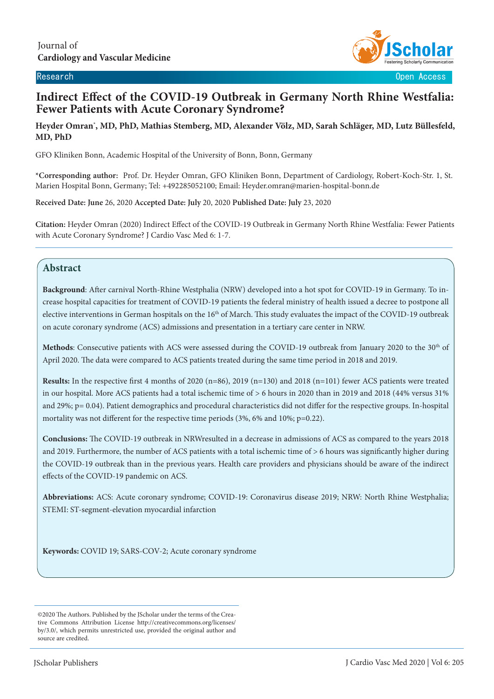

# **Indirect Effect of the COVID-19 Outbreak in Germany North Rhine Westfalia: Fewer Patients with Acute Coronary Syndrome?**

#### **Heyder Omran\* , MD, PhD, Mathias Stemberg, MD, Alexander Völz, MD, Sarah Schläger, MD, Lutz Büllesfeld, MD, PhD**

GFO Kliniken Bonn, Academic Hospital of the University of Bonn, Bonn, Germany

**\*Corresponding author:** Prof. Dr. Heyder Omran, GFO Kliniken Bonn, Department of Cardiology, Robert-Koch-Str. 1, St. Marien Hospital Bonn, Germany; Tel: +492285052100; Email: Heyder.omran@marien-hospital-bonn.de

**Received Date: June** 26, 2020 **Accepted Date: July** 20, 2020 **Published Date: July** 23, 2020

**Citation:** Heyder Omran (2020) Indirect Effect of the COVID-19 Outbreak in Germany North Rhine Westfalia: Fewer Patients with Acute Coronary Syndrome? J Cardio Vasc Med 6: 1-7.

### **Abstract**

 $\overline{\phantom{a}}$ 

**Background**: After carnival North-Rhine Westphalia (NRW) developed into a hot spot for COVID-19 in Germany. To increase hospital capacities for treatment of COVID-19 patients the federal ministry of health issued a decree to postpone all elective interventions in German hospitals on the  $16<sup>th</sup>$  of March. This study evaluates the impact of the COVID-19 outbreak on acute coronary syndrome (ACS) admissions and presentation in a tertiary care center in NRW.

Methods: Consecutive patients with ACS were assessed during the COVID-19 outbreak from January 2020 to the 30<sup>th</sup> of April 2020. The data were compared to ACS patients treated during the same time period in 2018 and 2019.

**Results:** In the respective first 4 months of 2020 (n=86), 2019 (n=130) and 2018 (n=101) fewer ACS patients were treated in our hospital. More ACS patients had a total ischemic time of > 6 hours in 2020 than in 2019 and 2018 (44% versus 31% and 29%; p= 0.04). Patient demographics and procedural characteristics did not differ for the respective groups. In-hospital mortality was not different for the respective time periods (3%, 6% and 10%; p=0.22).

**Conclusions:** The COVID-19 outbreak in NRWresulted in a decrease in admissions of ACS as compared to the years 2018 and 2019. Furthermore, the number of ACS patients with a total ischemic time of > 6 hours was significantly higher during the COVID-19 outbreak than in the previous years. Health care providers and physicians should be aware of the indirect effects of the COVID-19 pandemic on ACS.

**Abbreviations:** ACS: Acute coronary syndrome; COVID-19: Coronavirus disease 2019; NRW: North Rhine Westphalia; STEMI: ST-segment-elevation myocardial infarction

**Keywords:** COVID 19; SARS-COV-2; Acute coronary syndrome

©2020 The Authors. Published by the JScholar under the terms of the Creative Commons Attribution License http://creativecommons.org/licenses/ by/3.0/, which permits unrestricted use, provided the original author and source are credited.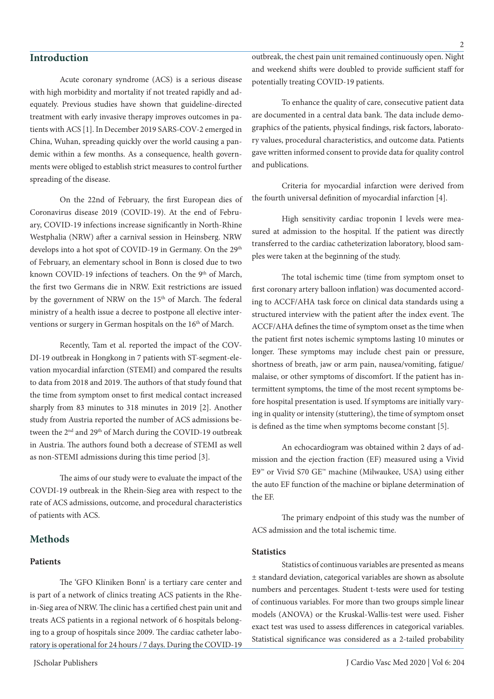### **Introduction**

Acute coronary syndrome (ACS) is a serious disease with high morbidity and mortality if not treated rapidly and adequately. Previous studies have shown that guideline-directed treatment with early invasive therapy improves outcomes in patients with ACS [1]. In December 2019 SARS-COV-2 emerged in China, Wuhan, spreading quickly over the world causing a pandemic within a few months. As a consequence, health governments were obliged to establish strict measures to control further spreading of the disease.

On the 22nd of February, the first European dies of Coronavirus disease 2019 (COVID-19). At the end of February, COVID-19 infections increase significantly in North-Rhine Westphalia (NRW) after a carnival session in Heinsberg. NRW develops into a hot spot of COVID-19 in Germany. On the 29<sup>th</sup> of February, an elementary school in Bonn is closed due to two known COVID-19 infections of teachers. On the  $9<sup>th</sup>$  of March, the first two Germans die in NRW. Exit restrictions are issued by the government of NRW on the 15<sup>th</sup> of March. The federal ministry of a health issue a decree to postpone all elective interventions or surgery in German hospitals on the 16<sup>th</sup> of March.

Recently, Tam et al. reported the impact of the COV-DI-19 outbreak in Hongkong in 7 patients with ST-segment-elevation myocardial infarction (STEMI) and compared the results to data from 2018 and 2019. The authors of that study found that the time from symptom onset to first medical contact increased sharply from 83 minutes to 318 minutes in 2019 [2]. Another study from Austria reported the number of ACS admissions between the 2<sup>nd</sup> and 29<sup>th</sup> of March during the COVID-19 outbreak in Austria. The authors found both a decrease of STEMI as well as non-STEMI admissions during this time period [3].

The aims of our study were to evaluate the impact of the COVDI-19 outbreak in the Rhein-Sieg area with respect to the rate of ACS admissions, outcome, and procedural characteristics of patients with ACS.

#### **Methods**

#### **Patients**

The 'GFO Kliniken Bonn' is a tertiary care center and is part of a network of clinics treating ACS patients in the Rhein-Sieg area of NRW. The clinic has a certified chest pain unit and treats ACS patients in a regional network of 6 hospitals belonging to a group of hospitals since 2009. The cardiac catheter laboratory is operational for 24 hours / 7 days. During the COVID-19

outbreak, the chest pain unit remained continuously open. Night and weekend shifts were doubled to provide sufficient staff for potentially treating COVID-19 patients.

To enhance the quality of care, consecutive patient data are documented in a central data bank. The data include demographics of the patients, physical findings, risk factors, laboratory values, procedural characteristics, and outcome data. Patients gave written informed consent to provide data for quality control and publications.

Criteria for myocardial infarction were derived from the fourth universal definition of myocardial infarction [4].

High sensitivity cardiac troponin I levels were measured at admission to the hospital. If the patient was directly transferred to the cardiac catheterization laboratory, blood samples were taken at the beginning of the study.

The total ischemic time (time from symptom onset to first coronary artery balloon inflation) was documented according to ACCF/AHA task force on clinical data standards using a structured interview with the patient after the index event. The ACCF/AHA defines the time of symptom onset as the time when the patient first notes ischemic symptoms lasting 10 minutes or longer. These symptoms may include chest pain or pressure, shortness of breath, jaw or arm pain, nausea/vomiting, fatigue/ malaise, or other symptoms of discomfort. If the patient has intermittent symptoms, the time of the most recent symptoms before hospital presentation is used. If symptoms are initially varying in quality or intensity (stuttering), the time of symptom onset is defined as the time when symptoms become constant [5].

An echocardiogram was obtained within 2 days of admission and the ejection fraction (EF) measured using a Vivid E9™ or Vivid S70 GE™ machine (Milwaukee, USA) using either the auto EF function of the machine or biplane determination of the EF.

The primary endpoint of this study was the number of ACS admission and the total ischemic time.

#### **Statistics**

Statistics of continuous variables are presented as means ± standard deviation, categorical variables are shown as absolute numbers and percentages. Student t-tests were used for testing of continuous variables. For more than two groups simple linear models (ANOVA) or the Kruskal-Wallis-test were used. Fisher exact test was used to assess differences in categorical variables. Statistical significance was considered as a 2-tailed probability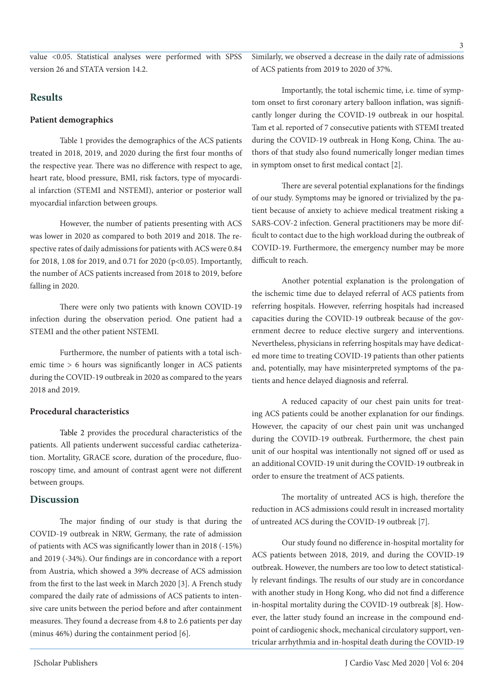value <0.05. Statistical analyses were performed with SPSS version 26 and STATA version 14.2.

## **Results**

#### **Patient demographics**

Table 1 provides the demographics of the ACS patients treated in 2018, 2019, and 2020 during the first four months of the respective year. There was no difference with respect to age, heart rate, blood pressure, BMI, risk factors, type of myocardial infarction (STEMI and NSTEMI), anterior or posterior wall myocardial infarction between groups.

However, the number of patients presenting with ACS was lower in 2020 as compared to both 2019 and 2018. The respective rates of daily admissions for patients with ACS were 0.84 for 2018, 1.08 for 2019, and 0.71 for 2020 (p<0.05). Importantly, the number of ACS patients increased from 2018 to 2019, before falling in 2020.

There were only two patients with known COVID-19 infection during the observation period. One patient had a STEMI and the other patient NSTEMI.

Furthermore, the number of patients with a total ischemic time > 6 hours was significantly longer in ACS patients during the COVID-19 outbreak in 2020 as compared to the years 2018 and 2019.

#### **Procedural characteristics**

Table 2 provides the procedural characteristics of the patients. All patients underwent successful cardiac catheterization. Mortality, GRACE score, duration of the procedure, fluoroscopy time, and amount of contrast agent were not different between groups.

### **Discussion**

The major finding of our study is that during the COVID-19 outbreak in NRW, Germany, the rate of admission of patients with ACS was significantly lower than in 2018 (-15%) and 2019 (-34%). Our findings are in concordance with a report from Austria, which showed a 39% decrease of ACS admission from the first to the last week in March 2020 [3]. A French study compared the daily rate of admissions of ACS patients to intensive care units between the period before and after containment measures. They found a decrease from 4.8 to 2.6 patients per day (minus 46%) during the containment period [6].

Similarly, we observed a decrease in the daily rate of admissions of ACS patients from 2019 to 2020 of 37%.

Importantly, the total ischemic time, i.e. time of symptom onset to first coronary artery balloon inflation, was significantly longer during the COVID-19 outbreak in our hospital. Tam et al. reported of 7 consecutive patients with STEMI treated during the COVID-19 outbreak in Hong Kong, China. The authors of that study also found numerically longer median times in symptom onset to first medical contact [2].

There are several potential explanations for the findings of our study. Symptoms may be ignored or trivialized by the patient because of anxiety to achieve medical treatment risking a SARS-COV-2 infection. General practitioners may be more difficult to contact due to the high workload during the outbreak of COVID-19. Furthermore, the emergency number may be more difficult to reach.

Another potential explanation is the prolongation of the ischemic time due to delayed referral of ACS patients from referring hospitals. However, referring hospitals had increased capacities during the COVID-19 outbreak because of the government decree to reduce elective surgery and interventions. Nevertheless, physicians in referring hospitals may have dedicated more time to treating COVID-19 patients than other patients and, potentially, may have misinterpreted symptoms of the patients and hence delayed diagnosis and referral.

A reduced capacity of our chest pain units for treating ACS patients could be another explanation for our findings. However, the capacity of our chest pain unit was unchanged during the COVID-19 outbreak. Furthermore, the chest pain unit of our hospital was intentionally not signed off or used as an additional COVID-19 unit during the COVID-19 outbreak in order to ensure the treatment of ACS patients.

The mortality of untreated ACS is high, therefore the reduction in ACS admissions could result in increased mortality of untreated ACS during the COVID-19 outbreak [7].

Our study found no difference in-hospital mortality for ACS patients between 2018, 2019, and during the COVID-19 outbreak. However, the numbers are too low to detect statistically relevant findings. The results of our study are in concordance with another study in Hong Kong, who did not find a difference in-hospital mortality during the COVID-19 outbreak [8]. However, the latter study found an increase in the compound endpoint of cardiogenic shock, mechanical circulatory support, ventricular arrhythmia and in-hospital death during the COVID-19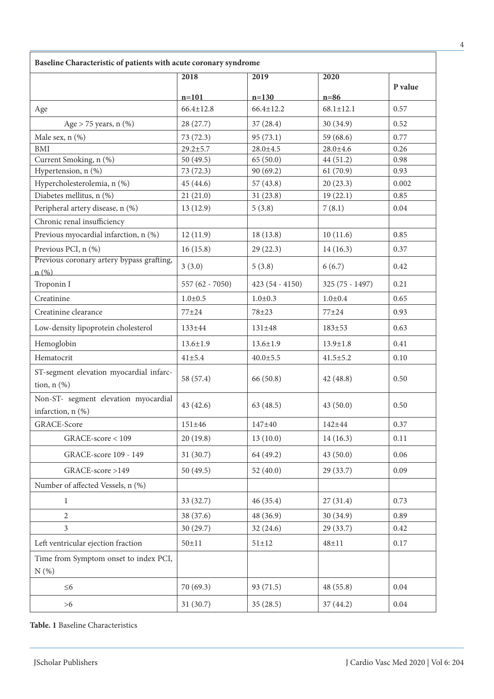| Baseline Characteristic of patients with acute coronary syndrome |                   |                  |                  |          |  |  |
|------------------------------------------------------------------|-------------------|------------------|------------------|----------|--|--|
|                                                                  | 2018              | 2019             | 2020             |          |  |  |
|                                                                  | $n=101$           | $n=130$          | $n=86$           | P value  |  |  |
| Age                                                              | $66.4 \pm 12.8$   | $66.4 \pm 12.2$  | $68.1 \pm 12.1$  | 0.57     |  |  |
| Age $>$ 75 years, n $(\%)$                                       | 28 (27.7)         | 37(28.4)         | 30(34.9)         | 0.52     |  |  |
| Male sex, n (%)                                                  | 73(72.3)          | 95(73.1)         | 59 (68.6)        | 0.77     |  |  |
| <b>BMI</b>                                                       | $29.2 + 5.7$      | $28.0 \pm 4.5$   | $28.0 + 4.6$     | 0.26     |  |  |
| Current Smoking, n (%)                                           | 50 $(49.5)$       | 65(50.0)         | 44 (51.2)        | 0.98     |  |  |
| Hypertension, n (%)                                              | 73 (72.3)         | 90(69.2)         | 61(70.9)         | 0.93     |  |  |
| Hypercholesterolemia, n (%)                                      | 45 (44.6)         | 57(43.8)         | 20(23.3)         | 0.002    |  |  |
| Diabetes mellitus, n (%)                                         | 21(21.0)          | 31(23.8)         | 19(22.1)         | 0.85     |  |  |
| Peripheral artery disease, n (%)                                 | 13 (12.9)         | 5(3.8)           | 7(8.1)           | 0.04     |  |  |
| Chronic renal insufficiency                                      |                   |                  |                  |          |  |  |
| Previous myocardial infarction, n (%)                            | 12(11.9)          | 18(13.8)         | 10(11.6)         | 0.85     |  |  |
| Previous PCI, n (%)                                              | 16(15.8)          | 29(22.3)         | 14(16.3)         | 0.37     |  |  |
| Previous coronary artery bypass grafting,<br>$n(\%)$             | 3(3.0)            | 5(3.8)           | 6(6.7)           | 0.42     |  |  |
| Troponin I                                                       | 557 $(62 - 7050)$ | $423(54 - 4150)$ | $325(75 - 1497)$ | 0.21     |  |  |
| Creatinine                                                       | $1.0 + 0.5$       | $1.0 + 0.3$      | $1.0 + 0.4$      | 0.65     |  |  |
| Creatinine clearance                                             | $77 + 24$         | 78±23            | $77 + 24$        | 0.93     |  |  |
| Low-density lipoprotein cholesterol                              | $133 \pm 44$      | $131 \pm 48$     | $183 + 53$       | 0.63     |  |  |
| Hemoglobin                                                       | $13.6 \pm 1.9$    | $13.6 \pm 1.9$   | $13.9 \pm 1.8$   | 0.41     |  |  |
| Hematocrit                                                       | $41 \pm 5.4$      | $40.0 \pm 5.5$   | $41.5 \pm 5.2$   | 0.10     |  |  |
| ST-segment elevation myocardial infarc-<br>tion, $n$ $(\%)$      | 58 (57.4)         | 66 (50.8)        | 42 (48.8)        | 0.50     |  |  |
| Non-ST- segment elevation myocardial<br>infarction, n (%)        | 43(42.6)          | 63(48.5)         | 43(50.0)         | 0.50     |  |  |
| GRACE-Score                                                      | $151 \pm 46$      | 147±40           | 142±44           | 0.37     |  |  |
| GRACE-score < 109                                                | 20(19.8)          | 13(10.0)         | 14(16.3)         | 0.11     |  |  |
| GRACE-score 109 - 149                                            | 31(30.7)          | 64 (49.2)        | 43(50.0)         | 0.06     |  |  |
| GRACE-score >149                                                 | 50 (49.5)         | 52 $(40.0)$      | 29(33.7)         | 0.09     |  |  |
| Number of affected Vessels, n (%)                                |                   |                  |                  |          |  |  |
| $\mathbf{1}$                                                     | 33 (32.7)         | 46(35.4)         | 27(31.4)         | 0.73     |  |  |
| $\overline{2}$                                                   | 38 (37.6)         | 48 (36.9)        | 30 (34.9)        | 0.89     |  |  |
| $\mathfrak{Z}$                                                   | 30 (29.7)         | 32(24.6)         | 29 (33.7)        | 0.42     |  |  |
| Left ventricular ejection fraction                               | $50 \pm 11$       | $51 \pm 12$      | $48 + 11$        | 0.17     |  |  |
| Time from Symptom onset to index PCI,<br>N(%)                    |                   |                  |                  |          |  |  |
| $\leq 6$                                                         | 70 (69.3)         | 93 (71.5)        | 48 (55.8)        | $0.04\,$ |  |  |
| $>6$                                                             | 31(30.7)          | 35(28.5)         | 37(44.2)         | $0.04\,$ |  |  |

**Table. 1** Baseline Characteristics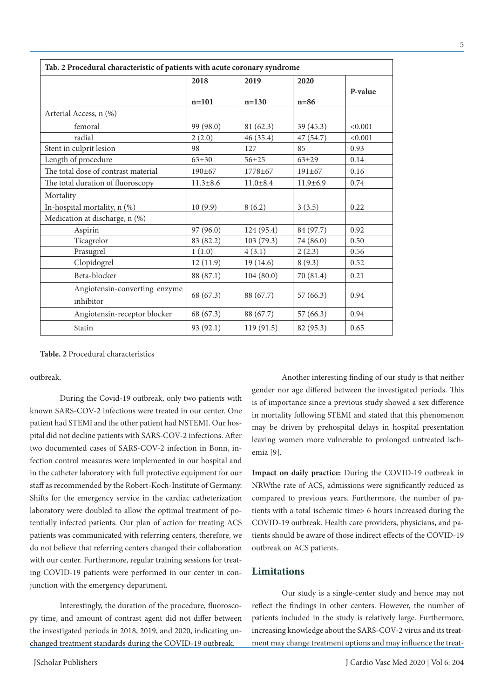| Tab. 2 Procedural characteristic of patients with acute coronary syndrome |                |                |                |         |  |  |
|---------------------------------------------------------------------------|----------------|----------------|----------------|---------|--|--|
|                                                                           | 2018           | 2019           | 2020           | P-value |  |  |
|                                                                           | $n = 101$      | $n = 130$      | $n=86$         |         |  |  |
| Arterial Access, n (%)                                                    |                |                |                |         |  |  |
| femoral                                                                   | 99 (98.0)      | 81 (62.3)      | 39(45.3)       | < 0.001 |  |  |
| radial                                                                    | 2(2.0)         | 46(35.4)       | 47(54.7)       | < 0.001 |  |  |
| Stent in culprit lesion                                                   | 98             | 127            | 85             | 0.93    |  |  |
| Length of procedure                                                       | $63 + 30$      | $56 + 25$      | $63 + 29$      | 0.14    |  |  |
| The total dose of contrast material                                       | $190 \pm 67$   | $1778 + 67$    | $191 \pm 67$   | 0.16    |  |  |
| The total duration of fluoroscopy                                         | $11.3 \pm 8.6$ | $11.0 \pm 8.4$ | $11.9 \pm 6.9$ | 0.74    |  |  |
| Mortality                                                                 |                |                |                |         |  |  |
| In-hospital mortality, $n$ (%)                                            | 10(9.9)        | 8(6.2)         | 3(3.5)         | 0.22    |  |  |
| Medication at discharge, n (%)                                            |                |                |                |         |  |  |
| Aspirin                                                                   | 97 (96.0)      | 124 (95.4)     | 84 (97.7)      | 0.92    |  |  |
| Ticagrelor                                                                | 83 (82.2)      | 103(79.3)      | 74 (86.0)      | 0.50    |  |  |
| Prasugrel                                                                 | 1(1.0)         | 4(3.1)         | 2(2.3)         | 0.56    |  |  |
| Clopidogrel                                                               | 12(11.9)       | 19(14.6)       | 8(9.3)         | 0.52    |  |  |
| Beta-blocker                                                              | 88 (87.1)      | 104(80.0)      | 70 (81.4)      | 0.21    |  |  |
| Angiotensin-converting enzyme<br>inhibitor                                | 68 (67.3)      | 88 (67.7)      | 57(66.3)       | 0.94    |  |  |
| Angiotensin-receptor blocker                                              | 68 (67.3)      | 88 (67.7)      | 57(66.3)       | 0.94    |  |  |
| Statin                                                                    | 93 (92.1)      | 119(91.5)      | 82 (95.3)      | 0.65    |  |  |

**Table. 2** Procedural characteristics

outbreak.

During the Covid-19 outbreak, only two patients with known SARS-COV-2 infections were treated in our center. One patient had STEMI and the other patient had NSTEMI. Our hospital did not decline patients with SARS-COV-2 infections. After two documented cases of SARS-COV-2 infection in Bonn, infection control measures were implemented in our hospital and in the catheter laboratory with full protective equipment for our staff as recommended by the Robert-Koch-Institute of Germany. Shifts for the emergency service in the cardiac catheterization laboratory were doubled to allow the optimal treatment of potentially infected patients. Our plan of action for treating ACS patients was communicated with referring centers, therefore, we do not believe that referring centers changed their collaboration with our center. Furthermore, regular training sessions for treating COVID-19 patients were performed in our center in conjunction with the emergency department.

Interestingly, the duration of the procedure, fluoroscopy time, and amount of contrast agent did not differ between the investigated periods in 2018, 2019, and 2020, indicating unchanged treatment standards during the COVID-19 outbreak.

JScholar Publishers

Another interesting finding of our study is that neither gender nor age differed between the investigated periods. This is of importance since a previous study showed a sex difference in mortality following STEMI and stated that this phenomenon may be driven by prehospital delays in hospital presentation leaving women more vulnerable to prolonged untreated ischemia [9].

**Impact on daily practice:** During the COVID-19 outbreak in NRWthe rate of ACS, admissions were significantly reduced as compared to previous years. Furthermore, the number of patients with a total ischemic time> 6 hours increased during the COVID-19 outbreak. Health care providers, physicians, and patients should be aware of those indirect effects of the COVID-19 outbreak on ACS patients.

#### **Limitations**

Our study is a single-center study and hence may not reflect the findings in other centers. However, the number of patients included in the study is relatively large. Furthermore, increasing knowledge about the SARS-COV-2 virus and its treatment may change treatment options and may influence the treat-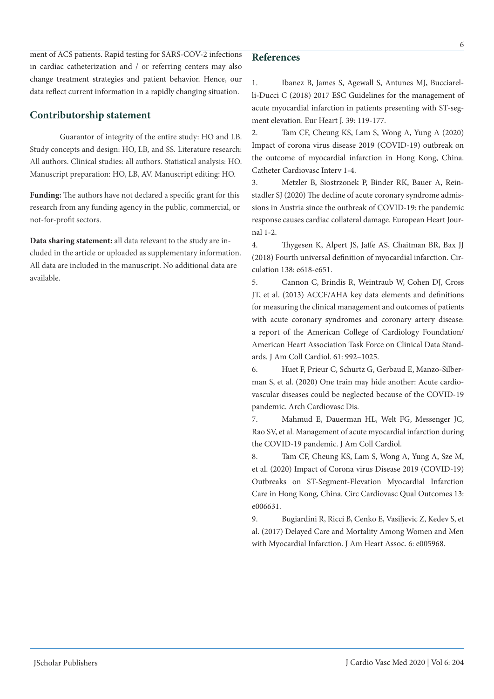#### **References**

ment of ACS patients. Rapid testing for SARS-COV-2 infections in cardiac catheterization and / or referring centers may also change treatment strategies and patient behavior. Hence, our data reflect current information in a rapidly changing situation.

## **Contributorship statement**

Guarantor of integrity of the entire study: HO and LB. Study concepts and design: HO, LB, and SS. Literature research: All authors. Clinical studies: all authors. Statistical analysis: HO. Manuscript preparation: HO, LB, AV. Manuscript editing: HO.

**Funding:** The authors have not declared a specific grant for this research from any funding agency in the public, commercial, or not-for-profit sectors.

**Data sharing statement:** all data relevant to the study are included in the article or uploaded as supplementary information. All data are included in the manuscript. No additional data are available.

1. Ibanez B, James S, Agewall S, Antunes MJ, Bucciarelli-Ducci C (2018) 2017 ESC Guidelines for the management of acute myocardial infarction in patients presenting with ST-segment elevation. Eur Heart J. 39: 119-177.

2. Tam CF, Cheung KS, Lam S, Wong A, Yung A (2020) Impact of corona virus disease 2019 (COVID-19) outbreak on the outcome of myocardial infarction in Hong Kong, China. Catheter Cardiovasc Interv 1-4.

3. Metzler B, Siostrzonek P, Binder RK, Bauer A, Reinstadler SJ (2020) The decline of acute coronary syndrome admissions in Austria since the outbreak of COVID-19: the pandemic response causes cardiac collateral damage. European Heart Journal 1-2.

4. Thygesen K, Alpert JS, Jaffe AS, Chaitman BR, Bax JJ (2018) Fourth universal definition of myocardial infarction. Circulation 138: e618-e651.

5. Cannon C, Brindis R, Weintraub W, Cohen DJ, Cross JT, et al. (2013) ACCF/AHA key data elements and definitions for measuring the clinical management and outcomes of patients with acute coronary syndromes and coronary artery disease: a report of the American College of Cardiology Foundation/ American Heart Association Task Force on Clinical Data Standards. J Am Coll Cardiol. 61: 992–1025.

6. Huet F, Prieur C, Schurtz G, Gerbaud E, Manzo-Silberman S, et al. (2020) One train may hide another: Acute cardiovascular diseases could be neglected because of the COVID-19 pandemic. Arch Cardiovasc Dis.

7. Mahmud E, Dauerman HL, Welt FG, Messenger JC, Rao SV, et al. Management of acute myocardial infarction during the COVID-19 pandemic. J Am Coll Cardiol.

8. Tam CF, Cheung KS, Lam S, Wong A, Yung A, Sze M, et al. (2020) Impact of Corona virus Disease 2019 (COVID-19) Outbreaks on ST-Segment-Elevation Myocardial Infarction Care in Hong Kong, China. Circ Cardiovasc Qual Outcomes 13: e006631.

9. Bugiardini R, Ricci B, Cenko E, Vasiljevic Z, Kedev S, et al. (2017) Delayed Care and Mortality Among Women and Men with Myocardial Infarction. J Am Heart Assoc. 6: e005968.